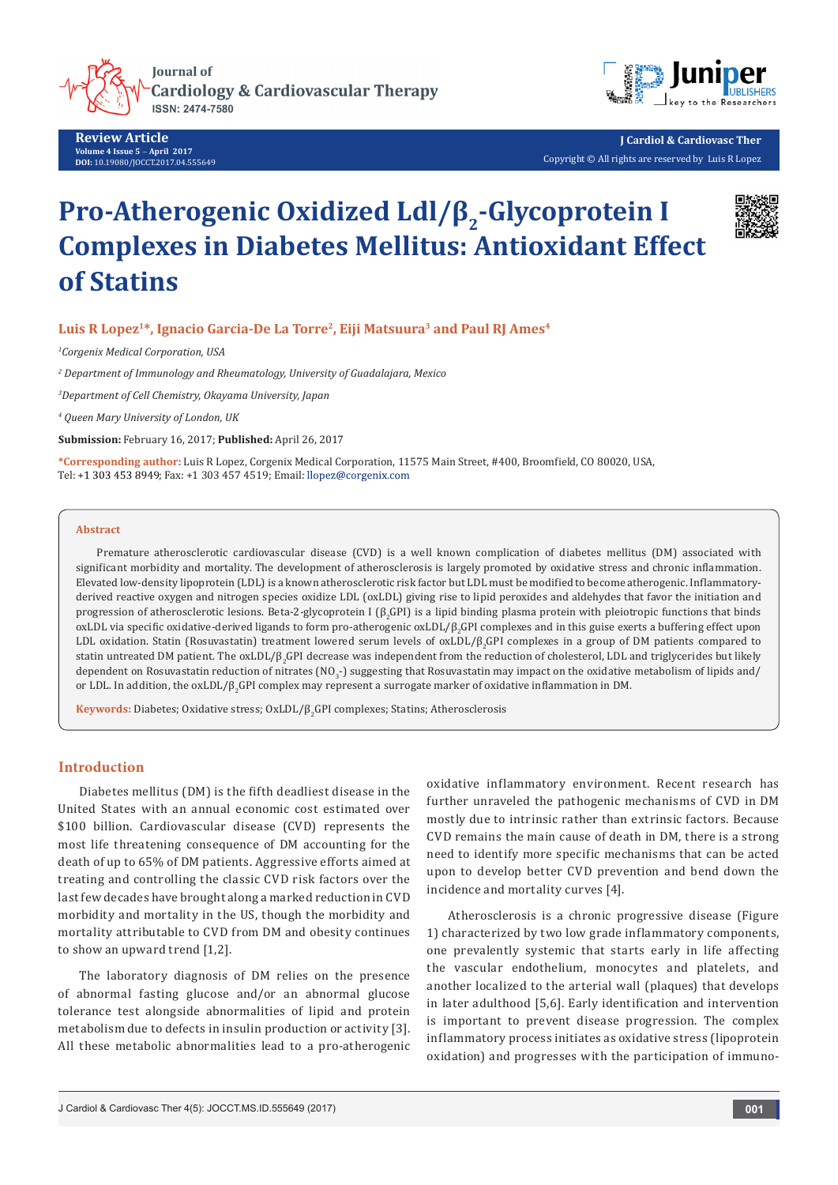

**Review Article Volume 4 Issue 5** - **April 2017 DOI:** [10.19080/JOCCT.2017.04.55564](http://dx.doi.org/10.19080/JOCCT.2017.04.555649)9



**J Cardiol & Cardiovasc Ther** Copyright © All rights are reserved by Luis R Lopez

# **Pro-Atherogenic Oxidized Ldl/β2-Glycoprotein I Complexes in Diabetes Mellitus: Antioxidant Effect of Statins**



## Luis R Lopez<sup>1\*</sup>, Ignacio Garcia-De La Torre<sup>2</sup>, Eiji Matsuura<sup>3</sup> and Paul RJ Ames<sup>4</sup>

*1 Corgenix Medical Corporation, USA*

*2 Department of Immunology and Rheumatology, University of Guadalajara, Mexico*

*3 Department of Cell Chemistry, Okayama University, Japan*

*4 Queen Mary University of London, UK*

**Submission:** February 16, 2017; **Published:** April 26, 2017

**\*Corresponding author:** Luis R Lopez, Corgenix Medical Corporation, 11575 Main Street, #400, Broomfield, CO 80020, USA, Tel: +1 303 453 8949; Fax: +1 303 457 4519; Email: llopez@corgenix.com

#### **Abstract**

Premature atherosclerotic cardiovascular disease (CVD) is a well known complication of diabetes mellitus (DM) associated with significant morbidity and mortality. The development of atherosclerosis is largely promoted by oxidative stress and chronic inflammation. Elevated low-density lipoprotein (LDL) is a known atherosclerotic risk factor but LDL must be modified to become atherogenic. Inflammatoryderived reactive oxygen and nitrogen species oxidize LDL (oxLDL) giving rise to lipid peroxides and aldehydes that favor the initiation and progression of atherosclerotic lesions. Beta-Z-glycoprotein I (β<sub>2</sub>GPI) is a lipid binding plasma protein with pleiotropic functions that binds oxLDL via specific oxidative-derived ligands to form pro-atherogenic oxLDL/β<sub>2</sub>GPI complexes and in this guise exerts a buffering effect upon LDL oxidation. Statin (Rosuvastatin) treatment lowered serum levels of oxLDL/ $\beta_2$ GPI complexes in a group of DM patients compared to statin untreated DM patient. The oxLDL/β<sub>2</sub>GPI decrease was independent from the reduction of cholesterol, LDL and triglycerides but likely dependent on Rosuvastatin reduction of nitrates (NO $_3$ -) suggesting that Rosuvastatin may impact on the oxidative metabolism of lipids and/ or LDL. In addition, the oxLDL/β<sub>2</sub>GPI complex may represent a surrogate marker of oxidative inflammation in DM.

**Keywords:** Diabetes; Oxidative stress; OxLDL/β<sub>2</sub>GPI complexes; Statins; Atherosclerosis

# **Introduction**

Diabetes mellitus (DM) is the fifth deadliest disease in the United States with an annual economic cost estimated over \$100 billion. Cardiovascular disease (CVD) represents the most life threatening consequence of DM accounting for the death of up to 65% of DM patients. Aggressive efforts aimed at treating and controlling the classic CVD risk factors over the last few decades have brought along a marked reduction in CVD morbidity and mortality in the US, though the morbidity and mortality attributable to CVD from DM and obesity continues to show an upward trend [1,2].

The laboratory diagnosis of DM relies on the presence of abnormal fasting glucose and/or an abnormal glucose tolerance test alongside abnormalities of lipid and protein metabolism due to defects in insulin production or activity [3]. All these metabolic abnormalities lead to a pro-atherogenic oxidative inflammatory environment. Recent research has further unraveled the pathogenic mechanisms of CVD in DM mostly due to intrinsic rather than extrinsic factors. Because CVD remains the main cause of death in DM, there is a strong need to identify more specific mechanisms that can be acted upon to develop better CVD prevention and bend down the incidence and mortality curves [4].

Atherosclerosis is a chronic progressive disease (Figure 1) characterized by two low grade inflammatory components, one prevalently systemic that starts early in life affecting the vascular endothelium, monocytes and platelets, and another localized to the arterial wall (plaques) that develops in later adulthood [5,6]. Early identification and intervention is important to prevent disease progression. The complex inflammatory process initiates as oxidative stress (lipoprotein oxidation) and progresses with the participation of immuno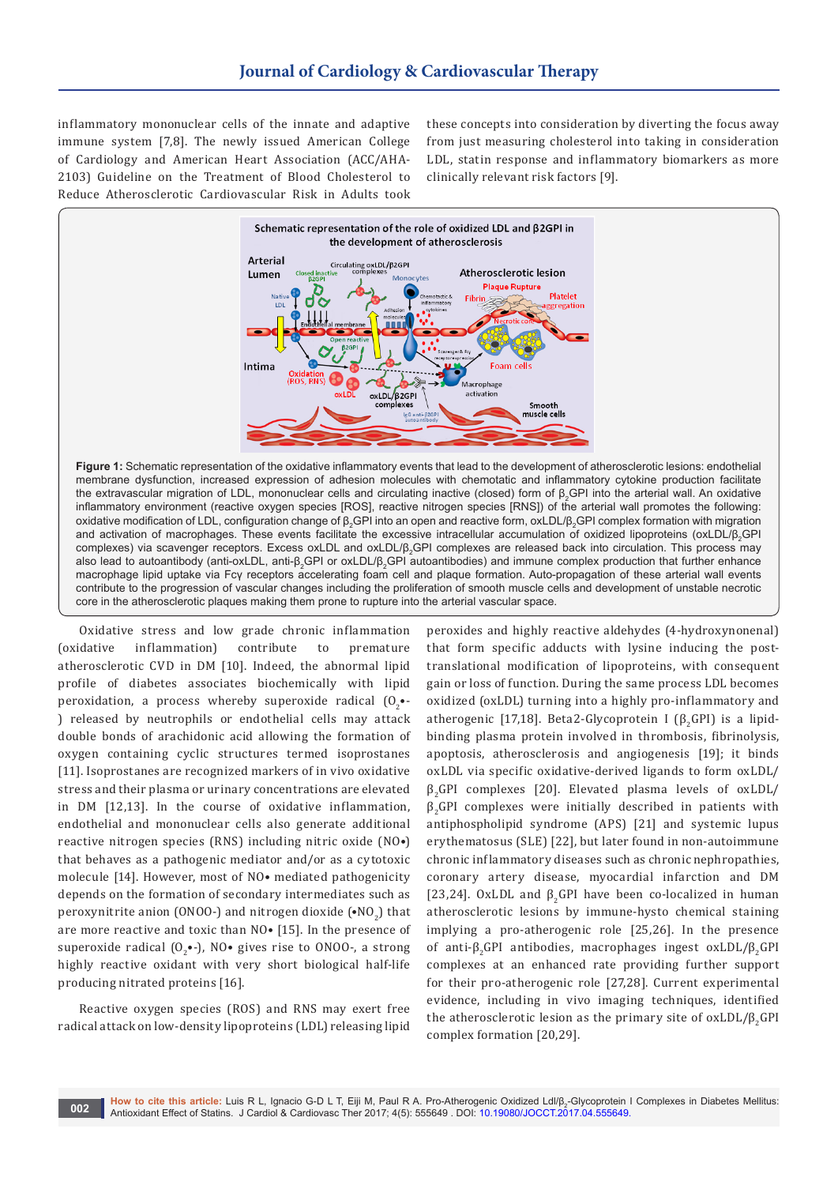inflammatory mononuclear cells of the innate and adaptive immune system [7,8]. The newly issued American College of Cardiology and American Heart Association (ACC/AHA-2103) Guideline on the Treatment of Blood Cholesterol to Reduce Atherosclerotic Cardiovascular Risk in Adults took

these concepts into consideration by diverting the focus away from just measuring cholesterol into taking in consideration LDL, statin response and inflammatory biomarkers as more clinically relevant risk factors [9].



membrane dysfunction, increased expression of adhesion molecules with chemotatic and inflammatory cytokine production facilitate the extravascular migration of LDL, mononuclear cells and circulating inactive (closed) form of β<sub>2</sub>GPI into the arterial wall. An oxidative inflammatory environment (reactive oxygen species [ROS], reactive nitrogen species [RNS]) of the arterial wall promotes the following: oxidative modification of LDL, configuration change of β<sub>2</sub>GPI into an open and reactive form, oxLDL/β<sub>2</sub>GPI complex formation with migration and activation of macrophages. These events facilitate the excessive intracellular accumulation of oxidized lipoproteins (oxLDL/β<sub>2</sub>GPI complexes) via scavenger receptors. Excess oxLDL and oxLDL/β<sub>2</sub>GPI complexes are released back into circulation. This process may also lead to autoantibody (anti-oxLDL, anti-β<sub>2</sub>GPI or oxLDL/β<sub>2</sub>GPI autoantibodies) and immune complex production that further enhance macrophage lipid uptake via Fcγ receptors accelerating foam cell and plaque formation. Auto-propagation of these arterial wall events contribute to the progression of vascular changes including the proliferation of smooth muscle cells and development of unstable necrotic core in the atherosclerotic plaques making them prone to rupture into the arterial vascular space.

Oxidative stress and low grade chronic inflammation (oxidative inflammation) contribute to premature atherosclerotic CVD in DM [10]. Indeed, the abnormal lipid profile of diabetes associates biochemically with lipid peroxidation, a process whereby superoxide radical  $(0_2 \bullet \cdot$ ) released by neutrophils or endothelial cells may attack double bonds of arachidonic acid allowing the formation of oxygen containing cyclic structures termed isoprostanes [11]. Isoprostanes are recognized markers of in vivo oxidative stress and their plasma or urinary concentrations are elevated in DM [12,13]. In the course of oxidative inflammation, endothelial and mononuclear cells also generate additional reactive nitrogen species (RNS) including nitric oxide (NO•) that behaves as a pathogenic mediator and/or as a cytotoxic molecule [14]. However, most of NO• mediated pathogenicity depends on the formation of secondary intermediates such as peroxynitrite anion (ONOO-) and nitrogen dioxide  $(\bullet \text{NO}_2)$  that are more reactive and toxic than NO• [15]. In the presence of superoxide radical  $(0<sub>2</sub>•-)$ , NO• gives rise to ONOO-, a strong highly reactive oxidant with very short biological half-life producing nitrated proteins [16].

Reactive oxygen species (ROS) and RNS may exert free radical attack on low-density lipoproteins (LDL) releasing lipid

peroxides and highly reactive aldehydes (4-hydroxynonenal) that form specific adducts with lysine inducing the posttranslational modification of lipoproteins, with consequent gain or loss of function. During the same process LDL becomes oxidized (oxLDL) turning into a highly pro-inflammatory and atherogenic [17,18]. Beta2-Glycoprotein I ( $\beta$ <sub>a</sub>GPI) is a lipidbinding plasma protein involved in thrombosis, fibrinolysis, apoptosis, atherosclerosis and angiogenesis [19]; it binds oxLDL via specific oxidative-derived ligands to form oxLDL/  $β<sub>2</sub>GPI$  complexes [20]. Elevated plasma levels of oxLDL/  $\beta_2$ GPI complexes were initially described in patients with antiphospholipid syndrome (APS) [21] and systemic lupus erythematosus (SLE) [22], but later found in non-autoimmune chronic inflammatory diseases such as chronic nephropathies, coronary artery disease, myocardial infarction and DM [23,24]. OxLDL and  $\beta$ , GPI have been co-localized in human atherosclerotic lesions by immune-hysto chemical staining implying a pro-atherogenic role [25,26]. In the presence of anti-β<sub>2</sub>GPI antibodies, macrophages ingest oxLDL/β<sub>2</sub>GPI complexes at an enhanced rate providing further support for their pro-atherogenic role [27,28]. Current experimental evidence, including in vivo imaging techniques, identified the atherosclerotic lesion as the primary site of  $oxLDL/\beta$ <sub>a</sub>GPI complex formation [20,29].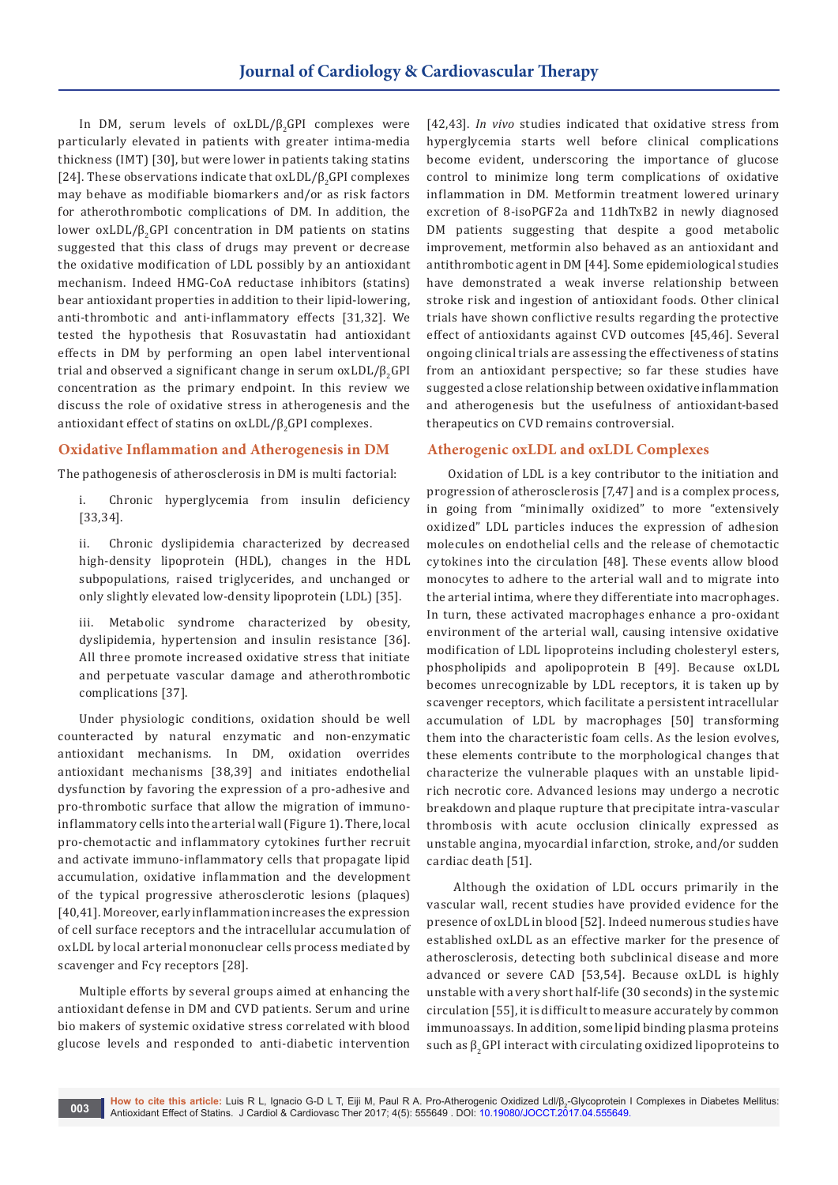In DM, serum levels of  $oxLDL/\beta$ <sub>2</sub>GPI complexes were particularly elevated in patients with greater intima-media thickness (IMT) [30], but were lower in patients taking statins [24]. These observations indicate that  $oxLDL/\beta_2$ GPI complexes may behave as modifiable biomarkers and/or as risk factors for atherothrombotic complications of DM. In addition, the lower oxLDL/β<sub>2</sub>GPI concentration in DM patients on statins suggested that this class of drugs may prevent or decrease the oxidative modification of LDL possibly by an antioxidant mechanism. Indeed HMG-CoA reductase inhibitors (statins) bear antioxidant properties in addition to their lipid-lowering, anti-thrombotic and anti-inflammatory effects [31,32]. We tested the hypothesis that Rosuvastatin had antioxidant effects in DM by performing an open label interventional trial and observed a significant change in serum  $oxLDL/\beta$ <sub>2</sub>GPI concentration as the primary endpoint. In this review we discuss the role of oxidative stress in atherogenesis and the antioxidant effect of statins on  $oxLDL/\beta$ <sub>2</sub>GPI complexes.

# **Oxidative Inflammation and Atherogenesis in DM**

The pathogenesis of atherosclerosis in DM is multi factorial:

i. Chronic hyperglycemia from insulin deficiency [33,34].

ii. Chronic dyslipidemia characterized by decreased high-density lipoprotein (HDL), changes in the HDL subpopulations, raised triglycerides, and unchanged or only slightly elevated low-density lipoprotein (LDL) [35].

iii. Metabolic syndrome characterized by obesity, dyslipidemia, hypertension and insulin resistance [36]. All three promote increased oxidative stress that initiate and perpetuate vascular damage and atherothrombotic complications [37].

Under physiologic conditions, oxidation should be well counteracted by natural enzymatic and non-enzymatic antioxidant mechanisms. In DM, oxidation overrides antioxidant mechanisms [38,39] and initiates endothelial dysfunction by favoring the expression of a pro-adhesive and pro-thrombotic surface that allow the migration of immunoinflammatory cells into the arterial wall (Figure 1). There, local pro-chemotactic and inflammatory cytokines further recruit and activate immuno-inflammatory cells that propagate lipid accumulation, oxidative inflammation and the development of the typical progressive atherosclerotic lesions (plaques) [40,41]. Moreover, early inflammation increases the expression of cell surface receptors and the intracellular accumulation of oxLDL by local arterial mononuclear cells process mediated by scavenger and Fcγ receptors [28].

Multiple efforts by several groups aimed at enhancing the antioxidant defense in DM and CVD patients. Serum and urine bio makers of systemic oxidative stress correlated with blood glucose levels and responded to anti-diabetic intervention

[42,43]. *In vivo* studies indicated that oxidative stress from hyperglycemia starts well before clinical complications become evident, underscoring the importance of glucose control to minimize long term complications of oxidative inflammation in DM. Metformin treatment lowered urinary excretion of 8-isoPGF2a and 11dhTxB2 in newly diagnosed DM patients suggesting that despite a good metabolic improvement, metformin also behaved as an antioxidant and antithrombotic agent in DM [44]. Some epidemiological studies have demonstrated a weak inverse relationship between stroke risk and ingestion of antioxidant foods. Other clinical trials have shown conflictive results regarding the protective effect of antioxidants against CVD outcomes [45,46]. Several ongoing clinical trials are assessing the effectiveness of statins from an antioxidant perspective; so far these studies have suggested a close relationship between oxidative inflammation and atherogenesis but the usefulness of antioxidant-based therapeutics on CVD remains controversial.

## **Atherogenic oxLDL and oxLDL Complexes**

Oxidation of LDL is a key contributor to the initiation and progression of atherosclerosis [7,47] and is a complex process, in going from "minimally oxidized" to more "extensively oxidized" LDL particles induces the expression of adhesion molecules on endothelial cells and the release of chemotactic cytokines into the circulation [48]. These events allow blood monocytes to adhere to the arterial wall and to migrate into the arterial intima, where they differentiate into macrophages. In turn, these activated macrophages enhance a pro-oxidant environment of the arterial wall, causing intensive oxidative modification of LDL lipoproteins including cholesteryl esters, phospholipids and apolipoprotein B [49]. Because oxLDL becomes unrecognizable by LDL receptors, it is taken up by scavenger receptors, which facilitate a persistent intracellular accumulation of LDL by macrophages [50] transforming them into the characteristic foam cells. As the lesion evolves, these elements contribute to the morphological changes that characterize the vulnerable plaques with an unstable lipidrich necrotic core. Advanced lesions may undergo a necrotic breakdown and plaque rupture that precipitate intra-vascular thrombosis with acute occlusion clinically expressed as unstable angina, myocardial infarction, stroke, and/or sudden cardiac death [51].

 Although the oxidation of LDL occurs primarily in the vascular wall, recent studies have provided evidence for the presence of oxLDL in blood [52]. Indeed numerous studies have established oxLDL as an effective marker for the presence of atherosclerosis, detecting both subclinical disease and more advanced or severe CAD [53,54]. Because oxLDL is highly unstable with a very short half-life (30 seconds) in the systemic circulation [55], it is difficult to measure accurately by common immunoassays. In addition, some lipid binding plasma proteins such as  $\beta$ <sub>2</sub>GPI interact with circulating oxidized lipoproteins to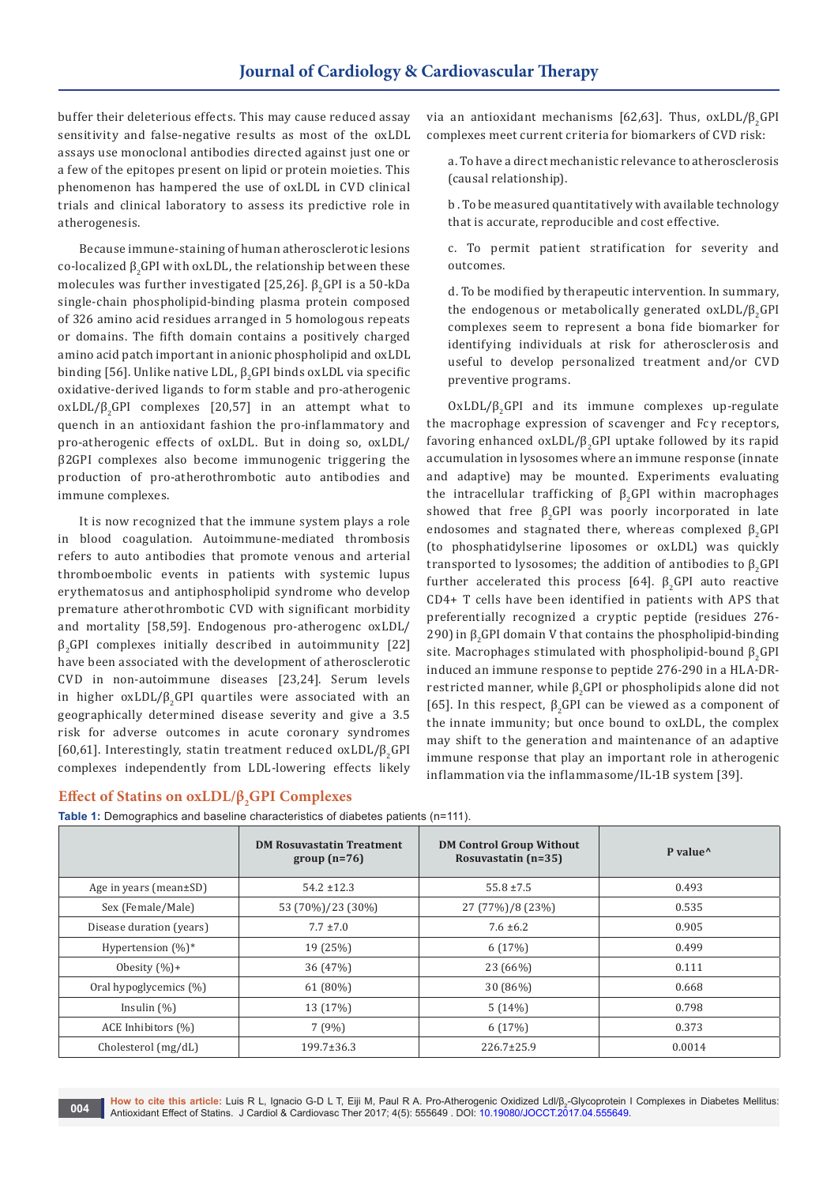buffer their deleterious effects. This may cause reduced assay sensitivity and false-negative results as most of the oxLDL assays use monoclonal antibodies directed against just one or a few of the epitopes present on lipid or protein moieties. This phenomenon has hampered the use of oxLDL in CVD clinical trials and clinical laboratory to assess its predictive role in atherogenesis.

Because immune-staining of human atherosclerotic lesions co-localized  $\beta_2$ GPI with oxLDL, the relationship between these molecules was further investigated  $[25,26]$ .  $\beta_{2}$ GPI is a 50-kDa single-chain phospholipid-binding plasma protein composed of 326 amino acid residues arranged in 5 homologous repeats or domains. The fifth domain contains a positively charged amino acid patch important in anionic phospholipid and oxLDL binding [56]. Unlike native LDL,  $\beta$ , GPI binds oxLDL via specific oxidative-derived ligands to form stable and pro-atherogenic oxLDL/ $\beta$ , GPI complexes [20,57] in an attempt what to quench in an antioxidant fashion the pro-inflammatory and pro-atherogenic effects of oxLDL. But in doing so, oxLDL/ β2GPI complexes also become immunogenic triggering the production of pro-atherothrombotic auto antibodies and immune complexes.

It is now recognized that the immune system plays a role in blood coagulation. Autoimmune-mediated thrombosis refers to auto antibodies that promote venous and arterial thromboembolic events in patients with systemic lupus erythematosus and antiphospholipid syndrome who develop premature atherothrombotic CVD with significant morbidity and mortality [58,59]. Endogenous pro-atherogenc oxLDL/ β2GPI complexes initially described in autoimmunity [22] have been associated with the development of atherosclerotic CVD in non-autoimmune diseases [23,24]. Serum levels in higher  $oxLDL/\beta$ <sub>2</sub>GPI quartiles were associated with an geographically determined disease severity and give a 3.5 risk for adverse outcomes in acute coronary syndromes [60,61]. Interestingly, statin treatment reduced oxLDL/β2GPI complexes independently from LDL-lowering effects likely

# **Effect of Statins on oxLDL/β<sub>2</sub>GPI Complexes**

**Table 1:** Demographics and baseline characteristics of diabetes patients (n=111).

**DM Rosuvastatin Treatment group (n=76) DM Control Group Without Rosuvastatin (n=35) P value^** Age in years (mean±SD) 54.2 ±12.3 55.8 ±7.5 0.493 Sex (Female/Male) 53 (70%)/23 (30%) 27 (77%)/8 (23%) 2005 0.535 Disease duration (years)  $7.7 \pm 7.0$   $7.7 \pm 7.0$   $7.6 \pm 6.2$  0.905 Hypertension (%)\* 19 (25%) 6 (17%) 6 (17%) 19 (25%) Obesity (%)+  $36 (47\%)$  36 (47%) 23 (66%) 10.111 Oral hypoglycemics (%) 61 (80%) 30 (86%) 0.668 Insulin (%) 13 (17%) 13 (17%) 5 (14%) 14 (%) 1798 ACE Inhibitors (%) 7 (9%) 6 (17%) 0.373 Cholesterol (mg/dL) 199.7±36.3 226.7±25.9 0.0014

via an antioxidant mechanisms [62,63]. Thus,  $oxLDL/\beta _aGPI$ complexes meet current criteria for biomarkers of CVD risk:

a. To have a direct mechanistic relevance to atherosclerosis (causal relationship).

b . To be measured quantitatively with available technology that is accurate, reproducible and cost effective.

c. To permit patient stratification for severity and outcomes.

d. To be modified by therapeutic intervention. In summary, the endogenous or metabolically generated  $oxLDL/\beta _{2}GPI$ complexes seem to represent a bona fide biomarker for identifying individuals at risk for atherosclerosis and useful to develop personalized treatment and/or CVD preventive programs.

 $OxLDL/\beta$ <sub>2</sub>GPI and its immune complexes up-regulate the macrophage expression of scavenger and Fcγ receptors, favoring enhanced oxLDL/ $\beta$ , GPI uptake followed by its rapid accumulation in lysosomes where an immune response (innate and adaptive) may be mounted. Experiments evaluating the intracellular trafficking of  $\beta$ , GPI within macrophages showed that free  $\beta$ , GPI was poorly incorporated in late endosomes and stagnated there, whereas complexed  $\beta_{2}GPI$ (to phosphatidylserine liposomes or oxLDL) was quickly transported to lysosomes; the addition of antibodies to  $β_2GPI$ further accelerated this process  $[64]$ .  $\beta$ <sub>2</sub>GPI auto reactive CD4+ T cells have been identified in patients with APS that preferentially recognized a cryptic peptide (residues 276- 290) in  $\beta$ <sub>2</sub>GPI domain V that contains the phospholipid-binding site. Macrophages stimulated with phospholipid-bound  $\beta$ , GPI induced an immune response to peptide 276-290 in a HLA-DRrestricted manner, while  $\beta$ <sub>3</sub>GPI or phospholipids alone did not [65]. In this respect,  $β_0$ GPI can be viewed as a component of the innate immunity; but once bound to oxLDL, the complex may shift to the generation and maintenance of an adaptive immune response that play an important role in atherogenic inflammation via the inflammasome/IL-1B system [39].

**How to cite this article:** Luis R L, Ignacio G-D L T, Eiji M, Paul R A. Pro-Atherogenic Oxidized Ldl/β<sub>2</sub>-Glycoprotein I Complexes in Diabetes Mellitus: Antioxidant Effect of Statins. J Cardiol & Cardiovasc Ther 2017; 4(5): 555649 . DOI: [10.19080/JOCCT.2017.04.55564](http://dx.doi.org/10.19080/JOCCT.2017.04.555649)9. **004**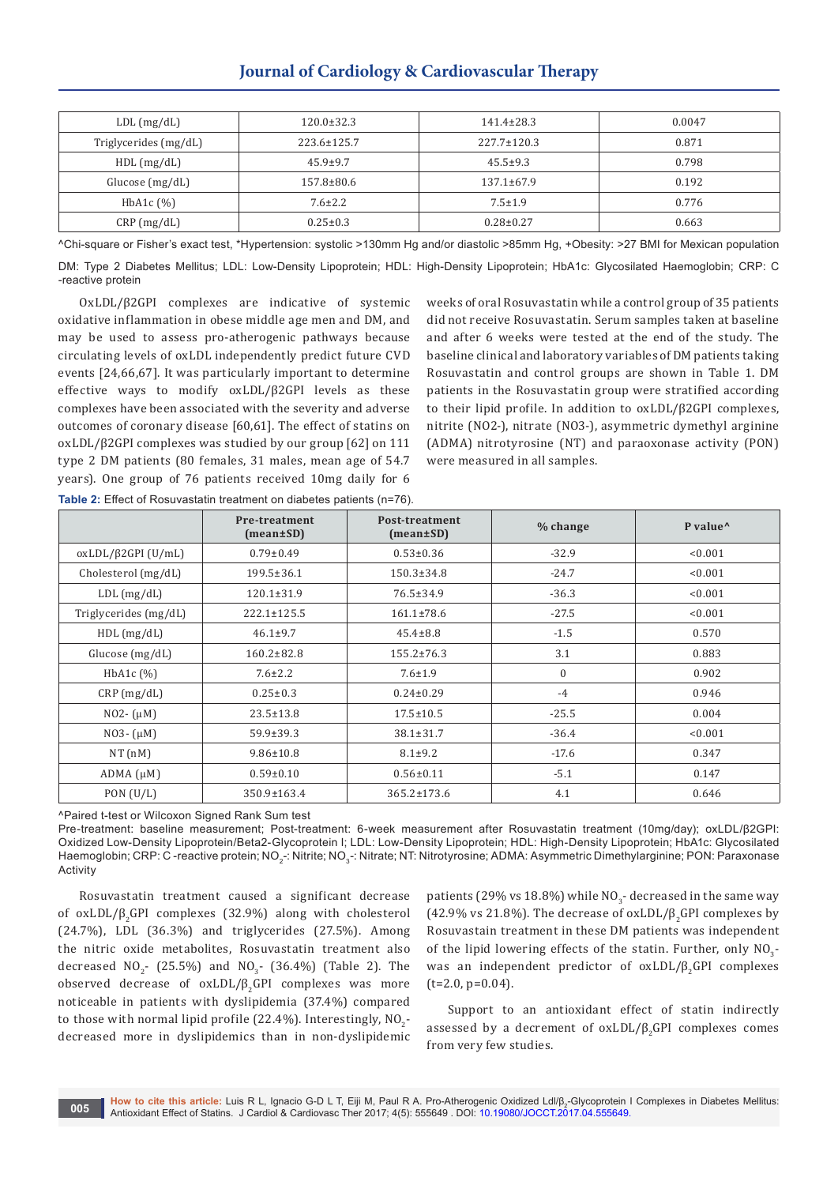# **Journal of Cardiology & Cardiovascular Therapy**

| $LDL$ (mg/dL)             | $120.0 \pm 32.3$  | $141.4 \pm 28.3$  | 0.0047 |
|---------------------------|-------------------|-------------------|--------|
| Triglycerides (mg/dL)     | $223.6 \pm 125.7$ | $227.7 \pm 120.3$ | 0.871  |
| HDL(mg/dL)                | $45.9 \pm 9.7$    | $45.5 \pm 9.3$    | 0.798  |
| Glucose $(mg/dL)$         | $157.8 \pm 80.6$  | $137.1 \pm 67.9$  | 0.192  |
| HbA <sub>1</sub> c $(\%)$ | $7.6 \pm 2.2$     | $7.5 \pm 1.9$     | 0.776  |
| $CRP$ (mg/dL)             | $0.25 \pm 0.3$    | $0.28 \pm 0.27$   | 0.663  |

^Chi-square or Fisher's exact test, \*Hypertension: systolic >130mm Hg and/or diastolic >85mm Hg, +Obesity: >27 BMI for Mexican population DM: Type 2 Diabetes Mellitus; LDL: Low-Density Lipoprotein; HDL: High-Density Lipoprotein; HbA1c: Glycosilated Haemoglobin; CRP: C -reactive protein

OxLDL/β2GPI complexes are indicative of systemic oxidative inflammation in obese middle age men and DM, and may be used to assess pro-atherogenic pathways because circulating levels of oxLDL independently predict future CVD events [24,66,67]. It was particularly important to determine effective ways to modify oxLDL/β2GPI levels as these complexes have been associated with the severity and adverse outcomes of coronary disease [60,61]. The effect of statins on oxLDL/β2GPI complexes was studied by our group [62] on 111 type 2 DM patients (80 females, 31 males, mean age of 54.7 years). One group of 76 patients received 10mg daily for 6 **Table 2:** Effect of Rosuvastatin treatment on diabetes patients (n=76).

weeks of oral Rosuvastatin while a control group of 35 patients did not receive Rosuvastatin. Serum samples taken at baseline and after 6 weeks were tested at the end of the study. The baseline clinical and laboratory variables of DM patients taking Rosuvastatin and control groups are shown in Table 1. DM patients in the Rosuvastatin group were stratified according to their lipid profile. In addition to oxLDL/β2GPI complexes, nitrite (NO2-), nitrate (NO3-), asymmetric dymethyl arginine (ADMA) nitrotyrosine (NT) and paraoxonase activity (PON) were measured in all samples.

|                       | Pre-treatment<br>$(mean \pm SD)$ | Post-treatment<br>$(mean \pm SD)$ | % change     | P value <sup>^</sup> |
|-----------------------|----------------------------------|-----------------------------------|--------------|----------------------|
| $oxLDL/β2GPI$ (U/mL)  | $0.79 \pm 0.49$                  | $0.53 \pm 0.36$                   | $-32.9$      | < 0.001              |
| Cholesterol (mg/dL)   | $199.5 \pm 36.1$                 | $150.3 \pm 34.8$                  | $-24.7$      | < 0.001              |
| $LDL$ (mg/dL)         | $120.1 \pm 31.9$                 | $76.5 \pm 34.9$                   | $-36.3$      | < 0.001              |
| Triglycerides (mg/dL) | $222.1 \pm 125.5$                | $161.1 \pm 78.6$                  | $-27.5$      | < 0.001              |
| HDL(mg/dL)            | $46.1 \pm 9.7$                   | $45.4 \pm 8.8$                    | $-1.5$       | 0.570                |
| Glucose (mg/dL)       | $160.2 \pm 82.8$                 | $155.2 \pm 76.3$                  | 3.1          | 0.883                |
| $HbA1c$ $(\% )$       | $7.6 \pm 2.2$                    | $7.6 \pm 1.9$                     | $\mathbf{0}$ | 0.902                |
| CRP(mg/dL)            | $0.25 \pm 0.3$                   | $0.24 \pm 0.29$                   | $-4$         | 0.946                |
| $NO2-(\mu M)$         | $23.5 \pm 13.8$                  | $17.5 \pm 10.5$                   | $-25.5$      | 0.004                |
| $NO3-(\mu M)$         | $59.9 \pm 39.3$                  | $38.1 \pm 31.7$                   | $-36.4$      | < 0.001              |
| NT(nM)                | $9.86 \pm 10.8$                  | $8.1 \pm 9.2$                     | $-17.6$      | 0.347                |
| $ADMA(\mu M)$         | $0.59 \pm 0.10$                  | $0.56 \pm 0.11$                   | $-5.1$       | 0.147                |
| PON(U/L)              | 350.9±163.4                      | $365.2 \pm 173.6$                 | 4.1          | 0.646                |

^Paired t-test or Wilcoxon Signed Rank Sum test

Pre-treatment: baseline measurement; Post-treatment: 6-week measurement after Rosuvastatin treatment (10mg/day); oxLDL/β2GPI: Oxidized Low-Density Lipoprotein/Beta2-Glycoprotein I; LDL: Low-Density Lipoprotein; HDL: High-Density Lipoprotein; HbA1c: Glycosilated Haemoglobin; CRP: C-reactive protein; NO<sub>3</sub>-: Nitrite; NO<sub>3</sub>-: Nitrate; NT: Nitrotyrosine; ADMA: Asymmetric Dimethylarginine; PON: Paraxonase **Activity** 

Rosuvastatin treatment caused a significant decrease of oxLDL/ $\beta$ , GPI complexes (32.9%) along with cholesterol (24.7%), LDL (36.3%) and triglycerides (27.5%). Among the nitric oxide metabolites, Rosuvastatin treatment also decreased  $NO<sub>2</sub>$ - (25.5%) and  $NO<sub>3</sub>$ - (36.4%) (Table 2). The observed decrease of  $oxLDL/\beta$ <sub>2</sub>GPI complexes was more noticeable in patients with dyslipidemia (37.4%) compared to those with normal lipid profile (22.4%). Interestingly,  $\mathsf{NO}_{2}^{\mathsf{-}}$ decreased more in dyslipidemics than in non-dyslipidemic patients (29% vs 18.8%) while  $NO<sub>3</sub>$ - decreased in the same way (42.9% vs 21.8%). The decrease of oxLDL/ $\beta$ , GPI complexes by Rosuvastain treatment in these DM patients was independent of the lipid lowering effects of the statin. Further, only  $NO<sub>2</sub>$ was an independent predictor of  $oxLDL/\beta_2$ GPI complexes  $(t=2.0, p=0.04)$ .

Support to an antioxidant effect of statin indirectly assessed by a decrement of  $oxLDL/\beta$ <sub>2</sub>GPI complexes comes from very few studies.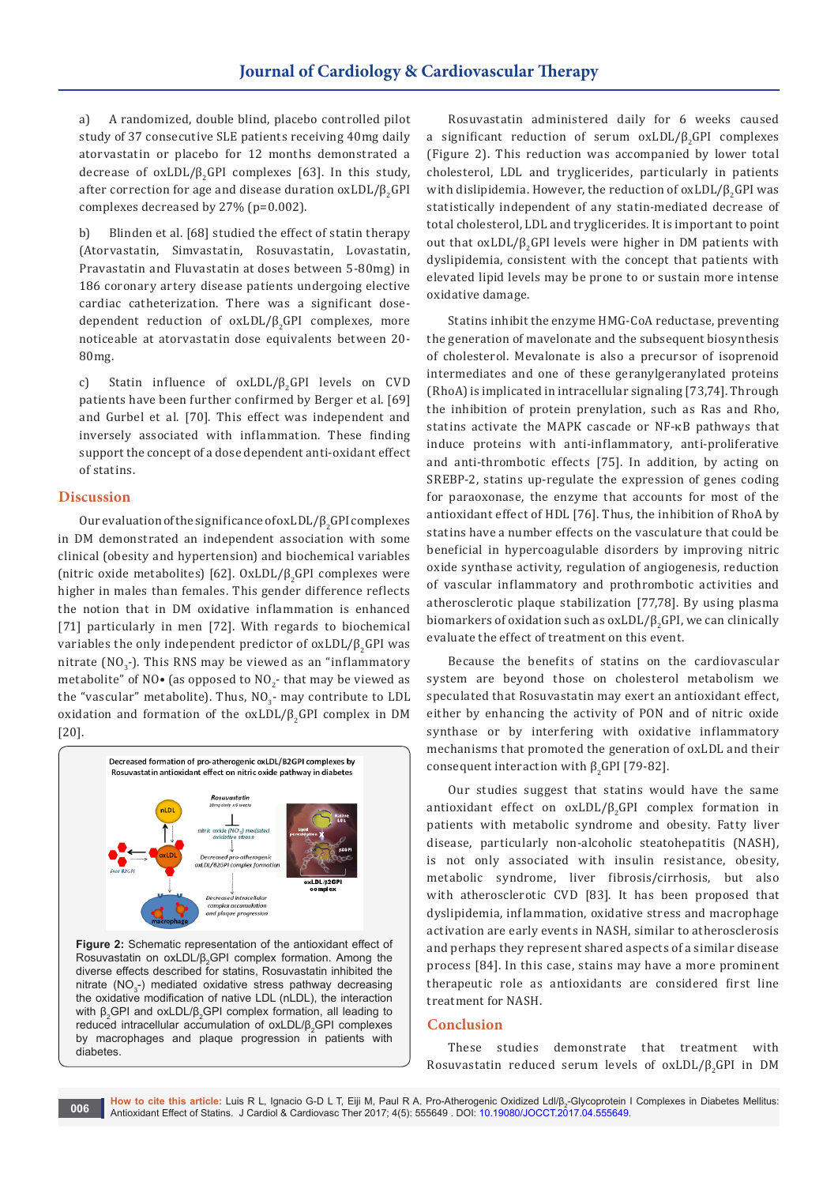a) A randomized, double blind, placebo controlled pilot study of 37 consecutive SLE patients receiving 40mg daily atorvastatin or placebo for 12 months demonstrated a decrease of  $oxLDL/\beta$ <sub>2</sub>GPI complexes [63]. In this study, after correction for age and disease duration  $oxLDL/\beta$ <sub>a</sub>GPI complexes decreased by 27% (p=0.002).

b) Blinden et al. [68] studied the effect of statin therapy (Atorvastatin, Simvastatin, Rosuvastatin, Lovastatin, Pravastatin and Fluvastatin at doses between 5-80mg) in 186 coronary artery disease patients undergoing elective cardiac catheterization. There was a significant dosedependent reduction of  $oxLDL/\beta$ <sub>2</sub>GPI complexes, more noticeable at atorvastatin dose equivalents between 20- 80mg.

c) Statin influence of oxLDL/β<sub>2</sub>GPI levels on CVD patients have been further confirmed by Berger et al. [69] and Gurbel et al. [70]. This effect was independent and inversely associated with inflammation. These finding support the concept of a dose dependent anti-oxidant effect of statins.

## **Discussion**

Our evaluation of the significance of oxLDL/β2GPI complexes in DM demonstrated an independent association with some clinical (obesity and hypertension) and biochemical variables (nitric oxide metabolites) [62]. OxLDL/ $\beta$ <sub>2</sub>GPI complexes were higher in males than females. This gender difference reflects the notion that in DM oxidative inflammation is enhanced [71] particularly in men [72]. With regards to biochemical variables the only independent predictor of  $oxLDL/\beta _{2}GPI$  was nitrate  $(NO, -)$ . This RNS may be viewed as an "inflammatory metabolite" of NO• (as opposed to NO<sub>2</sub>- that may be viewed as the "vascular" metabolite). Thus,  $NO<sub>2</sub>$ - may contribute to LDL oxidation and formation of the  $oxLDL/\beta _{2}GPI$  complex in DM [20].



**Figure 2:** Schematic representation of the antioxidant effect of Rosuvastatin on oxLDL/ $\beta_2$ GPI complex formation. Among the diverse effects described for statins, Rosuvastatin inhibited the nitrate ( $NO<sub>3</sub>$ -) mediated oxidative stress pathway decreasing the oxidative modification of native LDL (nLDL), the interaction with  $β_2$ GPI and oxLDL/ $β_2$ GPI complex formation, all leading to reduced intracellular accumulation of oxLDL/β<sub>2</sub>GPI complexes by macrophages and plaque progression in patients with diabetes.

Rosuvastatin administered daily for 6 weeks caused a significant reduction of serum  $oxLDL/\beta$ <sub>2</sub>GPI complexes (Figure 2). This reduction was accompanied by lower total cholesterol, LDL and tryglicerides, particularly in patients with dislipidemia. However, the reduction of  $oxLDL/\beta$ <sub>a</sub>GPI was statistically independent of any statin-mediated decrease of total cholesterol, LDL and tryglicerides. It is important to point out that  $oxLDL/\beta$ <sub>2</sub>GPI levels were higher in DM patients with dyslipidemia, consistent with the concept that patients with elevated lipid levels may be prone to or sustain more intense oxidative damage.

Statins inhibit the enzyme HMG-CoA reductase, preventing the generation of mavelonate and the subsequent biosynthesis of cholesterol. Mevalonate is also a precursor of isoprenoid intermediates and one of these geranylgeranylated proteins (RhoA) is implicated in intracellular signaling [73,74]. Through the inhibition of protein prenylation, such as Ras and Rho, statins activate the MAPK cascade or NF-κB pathways that induce proteins with anti-inflammatory, anti-proliferative and anti-thrombotic effects [75]. In addition, by acting on SREBP-2, statins up-regulate the expression of genes coding for paraoxonase, the enzyme that accounts for most of the antioxidant effect of HDL [76]. Thus, the inhibition of RhoA by statins have a number effects on the vasculature that could be beneficial in hypercoagulable disorders by improving nitric oxide synthase activity, regulation of angiogenesis, reduction of vascular inflammatory and prothrombotic activities and atherosclerotic plaque stabilization [77,78]. By using plasma biomarkers of oxidation such as  $oxLDL/\beta _{2}GPI$ , we can clinically evaluate the effect of treatment on this event.

Because the benefits of statins on the cardiovascular system are beyond those on cholesterol metabolism we speculated that Rosuvastatin may exert an antioxidant effect, either by enhancing the activity of PON and of nitric oxide synthase or by interfering with oxidative inflammatory mechanisms that promoted the generation of oxLDL and their consequent interaction with  $β$ <sub>2</sub>GPI [79-82].

Our studies suggest that statins would have the same antioxidant effect on  $oxLDL/\beta$ <sub>2</sub>GPI complex formation in patients with metabolic syndrome and obesity. Fatty liver disease, particularly non-alcoholic steatohepatitis (NASH), is not only associated with insulin resistance, obesity, metabolic syndrome, liver fibrosis/cirrhosis, but also with atherosclerotic CVD [83]. It has been proposed that dyslipidemia, inflammation, oxidative stress and macrophage activation are early events in NASH, similar to atherosclerosis and perhaps they represent shared aspects of a similar disease process [84]. In this case, stains may have a more prominent therapeutic role as antioxidants are considered first line treatment for NASH.

# **Conclusion**

These studies demonstrate that treatment with Rosuvastatin reduced serum levels of oxLDL/β<sub>2</sub>GPI in DM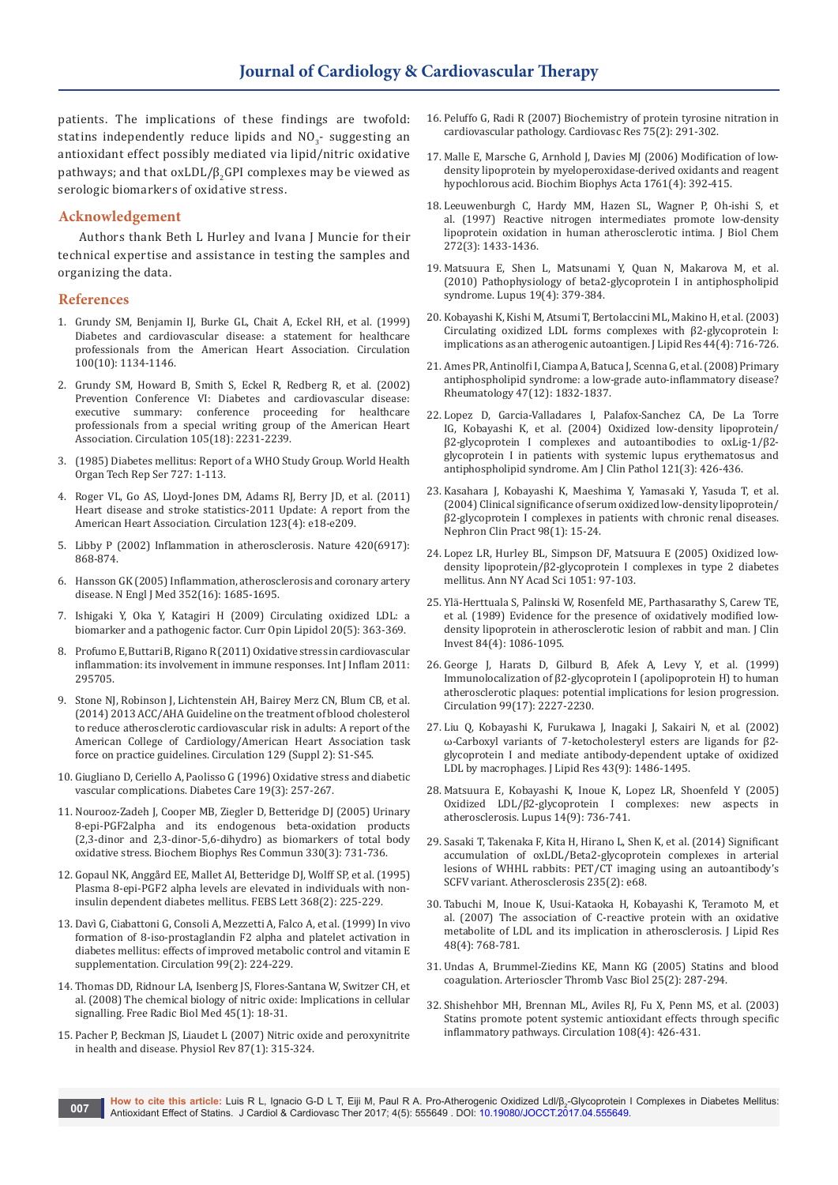patients. The implications of these findings are twofold: statins independently reduce lipids and  $NO<sub>2</sub>$ - suggesting an antioxidant effect possibly mediated via lipid/nitric oxidative pathways; and that  $oxLDL/\beta$ <sub>2</sub>GPI complexes may be viewed as serologic biomarkers of oxidative stress.

## **Acknowledgement**

Authors thank Beth L Hurley and Ivana J Muncie for their technical expertise and assistance in testing the samples and organizing the data.

## **References**

- 1. [Grundy SM, Benjamin IJ, Burke GL, Chait A, Eckel RH, et al. \(1999\)](https://www.ncbi.nlm.nih.gov/pubmed/10477542)  [Diabetes and cardiovascular disease: a statement for healthcare](https://www.ncbi.nlm.nih.gov/pubmed/10477542)  [professionals from the American Heart Association. Circulation](https://www.ncbi.nlm.nih.gov/pubmed/10477542)  [100\(10\): 1134-1146.](https://www.ncbi.nlm.nih.gov/pubmed/10477542)
- 2. [Grundy SM, Howard B, Smith S, Eckel R, Redberg R, et al. \(2002\)](https://www.ncbi.nlm.nih.gov/pubmed/11994261)  [Prevention Conference VI: Diabetes and cardiovascular disease:](https://www.ncbi.nlm.nih.gov/pubmed/11994261)  [executive summary: conference proceeding for healthcare](https://www.ncbi.nlm.nih.gov/pubmed/11994261)  [professionals from a special writing group of the American Heart](https://www.ncbi.nlm.nih.gov/pubmed/11994261)  [Association. Circulation 105\(18\): 2231-2239.](https://www.ncbi.nlm.nih.gov/pubmed/11994261)
- 3. [\(1985\) Diabetes mellitus: Report of a WHO Study Group. World Health](https://www.ncbi.nlm.nih.gov/pubmed/3934850)  [Organ Tech Rep Ser 727: 1-113.](https://www.ncbi.nlm.nih.gov/pubmed/3934850)
- 4. [Roger VL, Go AS, Lloyd-Jones DM, Adams RJ, Berry JD, et al. \(2011\)](https://www.ncbi.nlm.nih.gov/pubmed/21160056)  [Heart disease and stroke statistics-2011 Update: A report from the](https://www.ncbi.nlm.nih.gov/pubmed/21160056)  [American Heart Association. Circulation 123\(4\): e18-e209.](https://www.ncbi.nlm.nih.gov/pubmed/21160056)
- 5. [Libby P \(2002\) Inflammation in atherosclerosis. Nature 420\(6917\):](https://www.ncbi.nlm.nih.gov/pubmed/12490960)  [868-874.](https://www.ncbi.nlm.nih.gov/pubmed/12490960)
- 6. [Hansson GK \(2005\) Inflammation, atherosclerosis and coronary artery](https://www.ncbi.nlm.nih.gov/pubmed/15843671)  [disease. N Engl J Med 352\(16\): 1685-1695.](https://www.ncbi.nlm.nih.gov/pubmed/15843671)
- 7. [Ishigaki Y, Oka Y, Katagiri H \(2009\) Circulating oxidized LDL: a](https://www.ncbi.nlm.nih.gov/pubmed/19625960)  [biomarker and a pathogenic factor. Curr Opin Lipidol 20\(5\): 363-369.](https://www.ncbi.nlm.nih.gov/pubmed/19625960)
- 8. [Profumo E, Buttari B, Rigano R \(2011\) Oxidative stress in cardiovascular](https://www.ncbi.nlm.nih.gov/pubmed/21755027)  [inflammation: its involvement in immune responses. Int J Inflam 2011:](https://www.ncbi.nlm.nih.gov/pubmed/21755027)  [295705.](https://www.ncbi.nlm.nih.gov/pubmed/21755027)
- 9. [Stone NJ, Robinson J, Lichtenstein AH, Bairey Merz CN, Blum CB, et al.](https://www.ncbi.nlm.nih.gov/pubmed/24239923)  [\(2014\) 2013 ACC/AHA Guideline on the treatment of blood cholesterol](https://www.ncbi.nlm.nih.gov/pubmed/24239923)  [to reduce atherosclerotic cardiovascular risk in adults: A report of the](https://www.ncbi.nlm.nih.gov/pubmed/24239923)  [American College of Cardiology/American Heart Association task](https://www.ncbi.nlm.nih.gov/pubmed/24239923)  [force on practice guidelines. Circulation 129 \(Suppl 2\): S1-S45.](https://www.ncbi.nlm.nih.gov/pubmed/24239923)
- 10. [Giugliano D, Ceriello A, Paolisso G \(1996\) Oxidative stress and diabetic](https://www.ncbi.nlm.nih.gov/pubmed/8742574)  [vascular complications. Diabetes Care 19\(3\): 257-267.](https://www.ncbi.nlm.nih.gov/pubmed/8742574)
- 11. [Nourooz-Zadeh J, Cooper MB, Ziegler D, Betteridge DJ \(2005\) Urinary](https://www.ncbi.nlm.nih.gov/pubmed/15809058)  [8-epi-PGF2alpha and its endogenous beta-oxidation products](https://www.ncbi.nlm.nih.gov/pubmed/15809058)  [\(2,3-dinor and 2,3-dinor-5,6-dihydro\) as biomarkers of total body](https://www.ncbi.nlm.nih.gov/pubmed/15809058)  [oxidative stress. Biochem Biophys Res Commun 330\(3\): 731-736.](https://www.ncbi.nlm.nih.gov/pubmed/15809058)
- 12. [Gopaul NK, Anggård EE, Mallet AI, Betteridge DJ, Wolff SP, et al. \(1995\)](https://www.ncbi.nlm.nih.gov/pubmed/7628610)  [Plasma 8-epi-PGF2 alpha levels are elevated in individuals with non](https://www.ncbi.nlm.nih.gov/pubmed/7628610)[insulin dependent diabetes mellitus. FEBS Lett 368\(2\): 225-229.](https://www.ncbi.nlm.nih.gov/pubmed/7628610)
- 13. [Davì G, Ciabattoni G, Consoli A, Mezzetti A, Falco A, et al. \(1999\) In vivo](https://www.ncbi.nlm.nih.gov/pubmed/9892587)  [formation of 8-iso-prostaglandin F2 alpha and platelet activation in](https://www.ncbi.nlm.nih.gov/pubmed/9892587)  [diabetes mellitus: effects of improved metabolic control and vitamin E](https://www.ncbi.nlm.nih.gov/pubmed/9892587)  [supplementation. Circulation 99\(2\): 224-229.](https://www.ncbi.nlm.nih.gov/pubmed/9892587)
- 14. [Thomas DD, Ridnour LA, Isenberg JS, Flores-Santana W, Switzer CH, et](https://www.ncbi.nlm.nih.gov/pubmed/18439435)  [al. \(2008\) The chemical biology of nitric oxide: Implications in cellular](https://www.ncbi.nlm.nih.gov/pubmed/18439435)  [signalling. Free Radic Biol Med 45\(1\): 18-31.](https://www.ncbi.nlm.nih.gov/pubmed/18439435)
- 15. [Pacher P, Beckman JS, Liaudet L \(2007\) Nitric oxide and peroxynitrite](https://www.ncbi.nlm.nih.gov/pubmed/17237348)  [in health and disease. Physiol Rev 87\(1\): 315-324.](https://www.ncbi.nlm.nih.gov/pubmed/17237348)
- 16. [Peluffo G, Radi R \(2007\) Biochemistry of protein tyrosine nitration in](https://www.ncbi.nlm.nih.gov/pubmed/17544386)  [cardiovascular pathology. Cardiovasc Res 75\(2\): 291-302.](https://www.ncbi.nlm.nih.gov/pubmed/17544386)
- 17. [Malle E, Marsche G, Arnhold J, Davies MJ \(2006\) Modification of low](https://www.ncbi.nlm.nih.gov/pubmed/16698314)[density lipoprotein by myeloperoxidase-derived oxidants and reagent](https://www.ncbi.nlm.nih.gov/pubmed/16698314)  [hypochlorous acid. Biochim Biophys Acta 1761\(4\): 392-415.](https://www.ncbi.nlm.nih.gov/pubmed/16698314)
- 18. [Leeuwenburgh C, Hardy MM, Hazen SL, Wagner P, Oh-ishi S, et](https://www.ncbi.nlm.nih.gov/pubmed/8999808)  [al. \(1997\) Reactive nitrogen intermediates promote low-density](https://www.ncbi.nlm.nih.gov/pubmed/8999808)  [lipoprotein oxidation in human atherosclerotic intima. J Biol Chem](https://www.ncbi.nlm.nih.gov/pubmed/8999808)  [272\(3\): 1433-1436.](https://www.ncbi.nlm.nih.gov/pubmed/8999808)
- 19. [Matsuura E, Shen L, Matsunami Y, Quan N, Makarova M, et al.](https://www.ncbi.nlm.nih.gov/pubmed/20353973)  [\(2010\) Pathophysiology of beta2-glycoprotein I in antiphospholipid](https://www.ncbi.nlm.nih.gov/pubmed/20353973)  [syndrome. Lupus 19\(4\): 379-384.](https://www.ncbi.nlm.nih.gov/pubmed/20353973)
- 20. [Kobayashi K, Kishi M, Atsumi T, Bertolaccini ML, Makino H, et al. \(2003\)](https://www.ncbi.nlm.nih.gov/pubmed/12562869)  [Circulating oxidized LDL forms complexes with β2-glycoprotein I:](https://www.ncbi.nlm.nih.gov/pubmed/12562869)  [implications as an atherogenic autoantigen. J Lipid Res 44\(4\): 716-726.](https://www.ncbi.nlm.nih.gov/pubmed/12562869)
- 21. [Ames PR, Antinolfi I, Ciampa A, Batuca J, Scenna G, et al. \(2008\) Primary](https://www.ncbi.nlm.nih.gov/pubmed/18930964)  [antiphospholipid syndrome: a low-grade auto-inflammatory disease?](https://www.ncbi.nlm.nih.gov/pubmed/18930964)  [Rheumatology 47\(12\): 1832-1837.](https://www.ncbi.nlm.nih.gov/pubmed/18930964)
- 22. [Lopez D, Garcia-Valladares I, Palafox-Sanchez CA, De La Torre](https://www.ncbi.nlm.nih.gov/pubmed/15023048)  [IG, Kobayashi K, et al. \(2004\) Oxidized low-density lipoprotein/](https://www.ncbi.nlm.nih.gov/pubmed/15023048) [β2-glycoprotein I complexes and autoantibodies to oxLig-1/β2](https://www.ncbi.nlm.nih.gov/pubmed/15023048) [glycoprotein I in patients with systemic lupus erythematosus and](https://www.ncbi.nlm.nih.gov/pubmed/15023048)  [antiphospholipid syndrome. Am J Clin Pathol 121\(3\): 426-436.](https://www.ncbi.nlm.nih.gov/pubmed/15023048)
- 23. [Kasahara J, Kobayashi K, Maeshima Y, Yamasaki Y, Yasuda T, et al.](https://www.ncbi.nlm.nih.gov/pubmed/15361700)  [\(2004\) Clinical significance of serum oxidized low-density lipoprotein/](https://www.ncbi.nlm.nih.gov/pubmed/15361700) [β2-glycoprotein I complexes in patients with chronic renal diseases.](https://www.ncbi.nlm.nih.gov/pubmed/15361700)  [Nephron Clin Pract 98\(1\): 15-24.](https://www.ncbi.nlm.nih.gov/pubmed/15361700)
- 24. [Lopez LR, Hurley BL, Simpson DF, Matsuura E \(2005\) Oxidized low](https://www.ncbi.nlm.nih.gov/pubmed/16126948)[density lipoprotein/β2-glycoprotein I complexes in type 2 diabetes](https://www.ncbi.nlm.nih.gov/pubmed/16126948)  [mellitus. Ann NY Acad Sci 1051: 97-103.](https://www.ncbi.nlm.nih.gov/pubmed/16126948)
- 25. [Ylä-Herttuala S, Palinski W, Rosenfeld ME, Parthasarathy S, Carew TE,](https://www.ncbi.nlm.nih.gov/pubmed/2794046)  [et al. \(1989\) Evidence for the presence of oxidatively modified low](https://www.ncbi.nlm.nih.gov/pubmed/2794046)[density lipoprotein in atherosclerotic lesion of rabbit and man. J Clin](https://www.ncbi.nlm.nih.gov/pubmed/2794046)  [Invest 84\(4\): 1086-1095.](https://www.ncbi.nlm.nih.gov/pubmed/2794046)
- 26. [George J, Harats D, Gilburd B, Afek A, Levy Y, et al. \(1999\)](https://www.ncbi.nlm.nih.gov/pubmed/10226085)  [Immunolocalization of β2-glycoprotein I \(apolipoprotein H\) to human](https://www.ncbi.nlm.nih.gov/pubmed/10226085)  [atherosclerotic plaques: potential implications for lesion progression.](https://www.ncbi.nlm.nih.gov/pubmed/10226085)  [Circulation 99\(17\): 2227-2230.](https://www.ncbi.nlm.nih.gov/pubmed/10226085)
- 27. [Liu Q, Kobayashi K, Furukawa J, Inagaki J, Sakairi N, et al. \(2002\)](https://www.ncbi.nlm.nih.gov/pubmed/12235181)  [ω-Carboxyl variants of 7-ketocholesteryl esters are ligands for β2](https://www.ncbi.nlm.nih.gov/pubmed/12235181) [glycoprotein I and mediate antibody-dependent uptake of oxidized](https://www.ncbi.nlm.nih.gov/pubmed/12235181)  [LDL by macrophages. J Lipid Res 43\(9\): 1486-1495.](https://www.ncbi.nlm.nih.gov/pubmed/12235181)
- 28. [Matsuura E, Kobayashi K, Inoue K, Lopez LR, Shoenfeld Y \(2005\)](https://www.ncbi.nlm.nih.gov/pubmed/16218478)  [Oxidized LDL/β2-glycoprotein I complexes: new aspects in](https://www.ncbi.nlm.nih.gov/pubmed/16218478)  [atherosclerosis. Lupus 14\(9\): 736-741.](https://www.ncbi.nlm.nih.gov/pubmed/16218478)
- 29. [Sasaki T, Takenaka F, Kita H, Hirano L, Shen K, et al. \(2014\) Significant](http://www.atherosclerosis-journal.com/article/S0021-9150(14)00410-9/abstract)  [accumulation of oxLDL/Beta2-glycoprotein complexes in arterial](http://www.atherosclerosis-journal.com/article/S0021-9150(14)00410-9/abstract)  [lesions of WHHL rabbits: PET/CT imaging using an autoantibody's](http://www.atherosclerosis-journal.com/article/S0021-9150(14)00410-9/abstract)  [SCFV variant. Atherosclerosis 235\(2\): e68.](http://www.atherosclerosis-journal.com/article/S0021-9150(14)00410-9/abstract)
- 30. [Tabuchi M, Inoue K, Usui-Kataoka H, Kobayashi K, Teramoto M, et](https://www.ncbi.nlm.nih.gov/pubmed/17261875)  [al. \(2007\) The association of C-reactive protein with an oxidative](https://www.ncbi.nlm.nih.gov/pubmed/17261875)  [metabolite of LDL and its implication in atherosclerosis. J Lipid Res](https://www.ncbi.nlm.nih.gov/pubmed/17261875)  [48\(4\): 768-781.](https://www.ncbi.nlm.nih.gov/pubmed/17261875)
- 31. [Undas A, Brummel-Ziedins KE, Mann KG \(2005\) Statins and blood](https://www.ncbi.nlm.nih.gov/pubmed/15569822)  [coagulation. Arterioscler Thromb Vasc Biol 25\(2\): 287-294.](https://www.ncbi.nlm.nih.gov/pubmed/15569822)
- 32. [Shishehbor MH, Brennan ML, Aviles RJ, Fu X, Penn MS, et al. \(2003\)](https://www.ncbi.nlm.nih.gov/pubmed/12860913)  [Statins promote potent systemic antioxidant effects through specific](https://www.ncbi.nlm.nih.gov/pubmed/12860913)  [inflammatory pathways. Circulation 108\(4\): 426-431.](https://www.ncbi.nlm.nih.gov/pubmed/12860913)

**How to cite this article:** Luis R L, Ignacio G-D L T, Eiji M, Paul R A. Pro-Atherogenic Oxidized Ldl/β<sub>2</sub>-Glycoprotein I Complexes in Diabetes Mellitus: Antioxidant Effect of Statins. J Cardiol & Cardiovasc Ther 2017; 4(5): 555649 . DOI: [10.19080/JOCCT.2017.04.55564](http://dx.doi.org/10.19080/JOCCT.2017.04.555649)9. **007**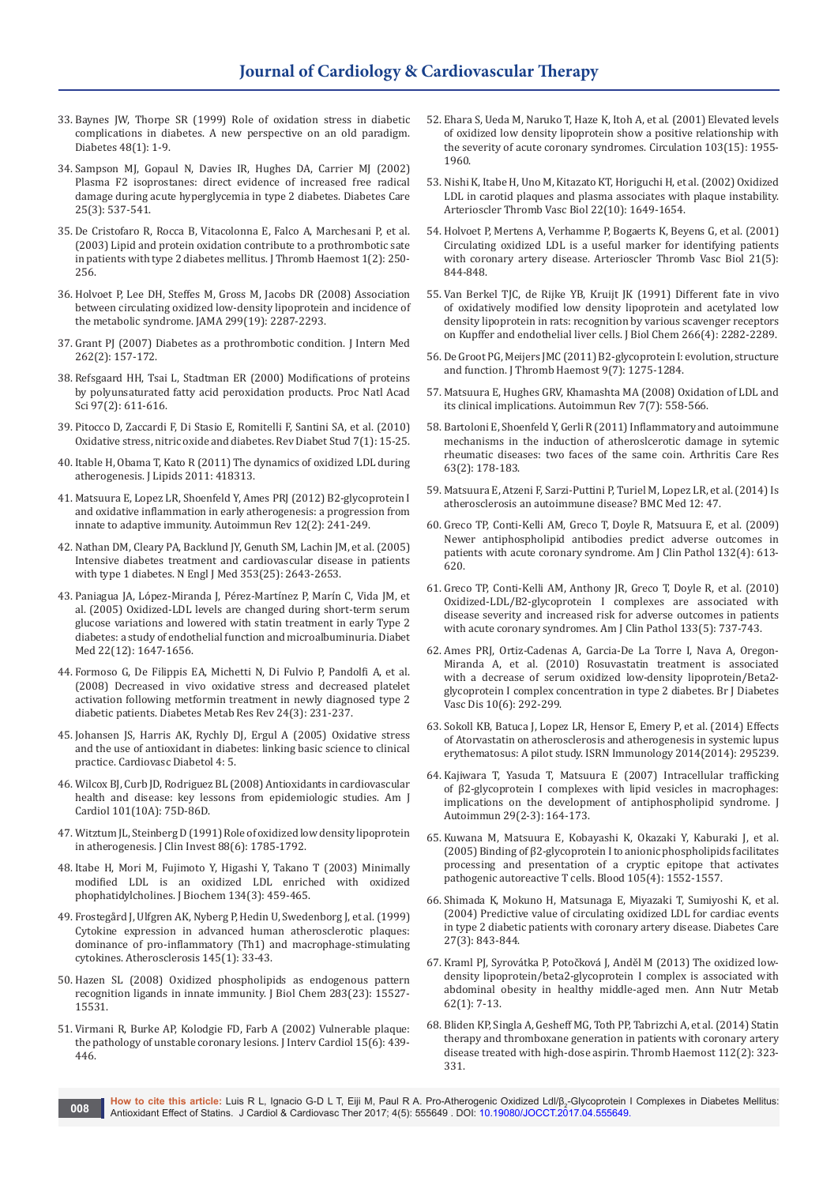- 33. [Baynes JW, Thorpe SR \(1999\) Role of oxidation stress in diabetic](https://www.ncbi.nlm.nih.gov/pubmed/9892215)  [complications in diabetes. A new perspective on an old paradigm.](https://www.ncbi.nlm.nih.gov/pubmed/9892215)  [Diabetes 48\(1\): 1-9.](https://www.ncbi.nlm.nih.gov/pubmed/9892215)
- 34. [Sampson MJ, Gopaul N, Davies IR, Hughes DA, Carrier MJ \(2002\)](https://www.ncbi.nlm.nih.gov/pubmed/11874943)  [Plasma F2 isoprostanes: direct evidence of increased free radical](https://www.ncbi.nlm.nih.gov/pubmed/11874943)  [damage during acute hyperglycemia in type 2 diabetes. Diabetes Care](https://www.ncbi.nlm.nih.gov/pubmed/11874943)  [25\(3\): 537-541.](https://www.ncbi.nlm.nih.gov/pubmed/11874943)
- 35. [De Cristofaro R, Rocca B, Vitacolonna E, Falco A, Marchesani P, et al.](https://www.ncbi.nlm.nih.gov/pubmed/12871497)  [\(2003\) Lipid and protein oxidation contribute to a prothrombotic sate](https://www.ncbi.nlm.nih.gov/pubmed/12871497)  [in patients with type 2 diabetes mellitus. J Thromb Haemost 1\(2\): 250-](https://www.ncbi.nlm.nih.gov/pubmed/12871497) [256.](https://www.ncbi.nlm.nih.gov/pubmed/12871497)
- 36. [Holvoet P, Lee DH, Steffes M, Gross M, Jacobs DR \(2008\) Association](https://www.ncbi.nlm.nih.gov/pubmed/18492970)  [between circulating oxidized low-density lipoprotein and incidence of](https://www.ncbi.nlm.nih.gov/pubmed/18492970)  [the metabolic syndrome. JAMA 299\(19\): 2287-2293.](https://www.ncbi.nlm.nih.gov/pubmed/18492970)
- 37. [Grant PJ \(2007\) Diabetes as a prothrombotic condition. J Intern Med](https://www.ncbi.nlm.nih.gov/pubmed/17645584)  [262\(2\): 157-172.](https://www.ncbi.nlm.nih.gov/pubmed/17645584)
- 38. [Refsgaard HH, Tsai L, Stadtman ER \(2000\) Modifications of proteins](https://www.ncbi.nlm.nih.gov/pubmed/10639127)  [by polyunsaturated fatty acid peroxidation products. Proc Natl Acad](https://www.ncbi.nlm.nih.gov/pubmed/10639127)  [Sci 97\(2\): 611-616.](https://www.ncbi.nlm.nih.gov/pubmed/10639127)
- 39. [Pitocco D, Zaccardi F, Di Stasio E, Romitelli F, Santini SA, et al. \(2010\)](https://www.ncbi.nlm.nih.gov/pubmed/20703435)  [Oxidative stress, nitric oxide and diabetes. Rev Diabet Stud 7\(1\): 15-25.](https://www.ncbi.nlm.nih.gov/pubmed/20703435)
- 40. [Itable H, Obama T, Kato R \(2011\) The dynamics of oxidized LDL during](https://www.ncbi.nlm.nih.gov/pubmed/21660303)  [atherogenesis. J Lipids 2011: 418313.](https://www.ncbi.nlm.nih.gov/pubmed/21660303)
- 41. [Matsuura E, Lopez LR, Shoenfeld Y, Ames PRJ \(2012\) B2-glycoprotein I](https://www.ncbi.nlm.nih.gov/pubmed/22569463)  [and oxidative inflammation in early atherogenesis: a progression from](https://www.ncbi.nlm.nih.gov/pubmed/22569463)  [innate to adaptive immunity. Autoimmun Rev 12\(2\): 241-249.](https://www.ncbi.nlm.nih.gov/pubmed/22569463)
- 42. [Nathan DM, Cleary PA, Backlund JY, Genuth SM, Lachin JM, et al. \(2005\)](https://www.ncbi.nlm.nih.gov/pubmed/16371630)  [Intensive diabetes treatment and cardiovascular disease in patients](https://www.ncbi.nlm.nih.gov/pubmed/16371630)  [with type 1 diabetes. N Engl J Med 353\(25\): 2643-2653.](https://www.ncbi.nlm.nih.gov/pubmed/16371630)
- 43. [Paniagua JA, López-Miranda J, Pérez-Martínez P, Marín C, Vida JM, et](https://www.ncbi.nlm.nih.gov/pubmed/16401307)  [al. \(2005\) Oxidized-LDL levels are changed during short-term serum](https://www.ncbi.nlm.nih.gov/pubmed/16401307)  [glucose variations and lowered with statin treatment in early Type 2](https://www.ncbi.nlm.nih.gov/pubmed/16401307)  [diabetes: a study of endothelial function and microalbuminuria. Diabet](https://www.ncbi.nlm.nih.gov/pubmed/16401307)  [Med 22\(12\): 1647-1656.](https://www.ncbi.nlm.nih.gov/pubmed/16401307)
- 44. [Formoso G, De Filippis EA, Michetti N, Di Fulvio P, Pandolfi A, et al.](https://www.ncbi.nlm.nih.gov/pubmed/17966969)  [\(2008\) Decreased in vivo oxidative stress and decreased platelet](https://www.ncbi.nlm.nih.gov/pubmed/17966969)  [activation following metformin treatment in newly diagnosed type 2](https://www.ncbi.nlm.nih.gov/pubmed/17966969)  [diabetic patients. Diabetes Metab Res Rev 24\(3\): 231-237.](https://www.ncbi.nlm.nih.gov/pubmed/17966969)
- 45. [Johansen JS, Harris AK, Rychly DJ, Ergul A \(2005\) Oxidative stress](https://www.ncbi.nlm.nih.gov/pubmed/15862133/)  [and the use of antioxidant in diabetes: linking basic science to clinical](https://www.ncbi.nlm.nih.gov/pubmed/15862133/)  [practice. Cardiovasc Diabetol 4: 5.](https://www.ncbi.nlm.nih.gov/pubmed/15862133/)
- 46. [Wilcox BJ, Curb JD, Rodriguez BL \(2008\) Antioxidants in cardiovascular](https://www.ncbi.nlm.nih.gov/pubmed/18474278)  [health and disease: key lessons from epidemiologic studies. Am J](https://www.ncbi.nlm.nih.gov/pubmed/18474278)  [Cardiol 101\(10A\): 75D-86D.](https://www.ncbi.nlm.nih.gov/pubmed/18474278)
- 47. [Witztum JL, Steinberg D \(1991\) Role of oxidized low density lipoprotein](https://www.ncbi.nlm.nih.gov/pubmed/1752940)  [in atherogenesis. J Clin Invest 88\(6\): 1785-1792.](https://www.ncbi.nlm.nih.gov/pubmed/1752940)
- 48. [Itabe H, Mori M, Fujimoto Y, Higashi Y, Takano T \(2003\) Minimally](https://www.ncbi.nlm.nih.gov/pubmed/14561732)  [modified LDL is an oxidized LDL enriched with oxidized](https://www.ncbi.nlm.nih.gov/pubmed/14561732)  [phophatidylcholines. J Biochem 134\(3\): 459-465.](https://www.ncbi.nlm.nih.gov/pubmed/14561732)
- 49. [Frostegård J, Ulfgren AK, Nyberg P, Hedin U, Swedenborg J, et al. \(1999\)](https://www.ncbi.nlm.nih.gov/pubmed/10428293)  [Cytokine expression in advanced human atherosclerotic plaques:](https://www.ncbi.nlm.nih.gov/pubmed/10428293)  [dominance of pro-inflammatory \(Th1\) and macrophage-stimulating](https://www.ncbi.nlm.nih.gov/pubmed/10428293)  [cytokines. Atherosclerosis 145\(1\): 33-43.](https://www.ncbi.nlm.nih.gov/pubmed/10428293)
- 50. [Hazen SL \(2008\) Oxidized phospholipids as endogenous pattern](https://www.ncbi.nlm.nih.gov/pubmed/18285328)  [recognition ligands in innate immunity. J Biol Chem 283\(23\): 15527-](https://www.ncbi.nlm.nih.gov/pubmed/18285328) [15531.](https://www.ncbi.nlm.nih.gov/pubmed/18285328)
- 51. [Virmani R, Burke AP, Kolodgie FD, Farb A \(2002\) Vulnerable plaque:](https://www.ncbi.nlm.nih.gov/pubmed/12476646)  [the pathology of unstable coronary lesions. J Interv Cardiol 15\(6\): 439-](https://www.ncbi.nlm.nih.gov/pubmed/12476646) [446.](https://www.ncbi.nlm.nih.gov/pubmed/12476646)
- 52. [Ehara S, Ueda M, Naruko T, Haze K, Itoh A, et al. \(2001\) Elevated levels](https://www.ncbi.nlm.nih.gov/pubmed/11306523)  [of oxidized low density lipoprotein show a positive relationship with](https://www.ncbi.nlm.nih.gov/pubmed/11306523)  [the severity of acute coronary syndromes. Circulation 103\(15\): 1955-](https://www.ncbi.nlm.nih.gov/pubmed/11306523) [1960.](https://www.ncbi.nlm.nih.gov/pubmed/11306523)
- 53. [Nishi K, Itabe H, Uno M, Kitazato KT, Horiguchi H, et al. \(2002\) Oxidized](https://www.ncbi.nlm.nih.gov/pubmed/12377744)  [LDL in carotid plaques and plasma associates with plaque instability.](https://www.ncbi.nlm.nih.gov/pubmed/12377744)  [Arterioscler Thromb Vasc Biol 22\(10\): 1649-1654.](https://www.ncbi.nlm.nih.gov/pubmed/12377744)
- 54. [Holvoet P, Mertens A, Verhamme P, Bogaerts K, Beyens G, et al. \(2001\)](https://www.ncbi.nlm.nih.gov/pubmed/11348884)  [Circulating oxidized LDL is a useful marker for identifying patients](https://www.ncbi.nlm.nih.gov/pubmed/11348884)  [with coronary artery disease. Arterioscler Thromb Vasc Biol 21\(5\):](https://www.ncbi.nlm.nih.gov/pubmed/11348884)  [844-848.](https://www.ncbi.nlm.nih.gov/pubmed/11348884)
- 55. [Van Berkel TJC, de Rijke YB, Kruijt JK \(1991\) Different fate in vivo](https://www.ncbi.nlm.nih.gov/pubmed/1989982)  [of oxidatively modified low density lipoprotein and acetylated low](https://www.ncbi.nlm.nih.gov/pubmed/1989982)  [density lipoprotein in rats: recognition by various scavenger receptors](https://www.ncbi.nlm.nih.gov/pubmed/1989982)  [on Kupffer and endothelial liver cells. J Biol Chem 266\(4\): 2282-2289.](https://www.ncbi.nlm.nih.gov/pubmed/1989982)
- 56. [De Groot PG, Meijers JMC \(2011\) B2-glycoprotein I: evolution, structure](https://www.ncbi.nlm.nih.gov/pubmed/21535391)  [and function. J Thromb Haemost 9\(7\): 1275-1284.](https://www.ncbi.nlm.nih.gov/pubmed/21535391)
- 57. [Matsuura E, Hughes GRV, Khamashta MA \(2008\) Oxidation of LDL and](https://www.ncbi.nlm.nih.gov/pubmed/18625445)  [its clinical implications. Autoimmun Rev 7\(7\): 558-566.](https://www.ncbi.nlm.nih.gov/pubmed/18625445)
- 58. [Bartoloni E, Shoenfeld Y, Gerli R \(2011\) Inflammatory and autoimmune](https://www.ncbi.nlm.nih.gov/pubmed/20740611)  [mechanisms in the induction of atheroslcerotic damage in sytemic](https://www.ncbi.nlm.nih.gov/pubmed/20740611)  [rheumatic diseases: two faces of the same coin. Arthritis Care Res](https://www.ncbi.nlm.nih.gov/pubmed/20740611)  [63\(2\): 178-183.](https://www.ncbi.nlm.nih.gov/pubmed/20740611)
- 59. [Matsuura E, Atzeni F, Sarzi-Puttini P, Turiel M, Lopez LR, et al. \(2014\) Is](https://www.ncbi.nlm.nih.gov/pubmed/24642015)  [atherosclerosis an autoimmune disease? BMC Med 12: 47.](https://www.ncbi.nlm.nih.gov/pubmed/24642015)
- 60. [Greco TP, Conti-Kelli AM, Greco T, Doyle R, Matsuura E, et al. \(2009\)](https://www.ncbi.nlm.nih.gov/pubmed/19762540)  [Newer antiphospholipid antibodies predict adverse outcomes in](https://www.ncbi.nlm.nih.gov/pubmed/19762540)  [patients with acute coronary syndrome. Am J Clin Pathol 132\(4\): 613-](https://www.ncbi.nlm.nih.gov/pubmed/19762540) [620.](https://www.ncbi.nlm.nih.gov/pubmed/19762540)
- 61. [Greco TP, Conti-Kelli AM, Anthony JR, Greco T, Doyle R, et al. \(2010\)](https://www.ncbi.nlm.nih.gov/pubmed/20395520)  [Oxidized-LDL/B2-glycoprotein I complexes are associated with](https://www.ncbi.nlm.nih.gov/pubmed/20395520)  [disease severity and increased risk for adverse outcomes in patients](https://www.ncbi.nlm.nih.gov/pubmed/20395520)  [with acute coronary syndromes. Am J Clin Pathol 133\(5\): 737-743.](https://www.ncbi.nlm.nih.gov/pubmed/20395520)
- 62. [Ames PRJ, Ortiz-Cadenas A, Garcia-De La Torre I, Nava A, Oregon-](http://journals.sagepub.com/doi/abs/10.1177/1474651410388057)[Miranda A, et al. \(2010\) Rosuvastatin treatment is associated](http://journals.sagepub.com/doi/abs/10.1177/1474651410388057)  [with a decrease of serum oxidized low-density lipoprotein/Beta2](http://journals.sagepub.com/doi/abs/10.1177/1474651410388057) [glycoprotein I complex concentration in type 2 diabetes. Br J Diabetes](http://journals.sagepub.com/doi/abs/10.1177/1474651410388057)  [Vasc Dis 10\(6\): 292-299.](http://journals.sagepub.com/doi/abs/10.1177/1474651410388057)
- 63. [Sokoll KB, Batuca J, Lopez LR, Hensor E, Emery P, et al. \(2014\) Effects](https://www.hindawi.com/journals/isrn/2014/295239/)  [of Atorvastatin on atherosclerosis and atherogenesis in systemic lupus](https://www.hindawi.com/journals/isrn/2014/295239/)  [erythematosus: A pilot study. ISRN Immunology 2014\(2014\): 295239.](https://www.hindawi.com/journals/isrn/2014/295239/)
- 64. [Kajiwara T, Yasuda T, Matsuura E \(2007\) Intracellular trafficking](https://www.ncbi.nlm.nih.gov/pubmed/17826950)  [of β2-glycoprotein I complexes with lipid vesicles in macrophages:](https://www.ncbi.nlm.nih.gov/pubmed/17826950)  [implications on the development of antiphospholipid syndrome. J](https://www.ncbi.nlm.nih.gov/pubmed/17826950)  [Autoimmun 29\(2-3\): 164-173.](https://www.ncbi.nlm.nih.gov/pubmed/17826950)
- 65. [Kuwana M, Matsuura E, Kobayashi K, Okazaki Y, Kaburaki J, et al.](https://www.ncbi.nlm.nih.gov/pubmed/15486070)  [\(2005\) Binding of β2-glycoprotein I to anionic phospholipids facilitates](https://www.ncbi.nlm.nih.gov/pubmed/15486070)  [processing and presentation of a cryptic epitope that activates](https://www.ncbi.nlm.nih.gov/pubmed/15486070)  [pathogenic autoreactive T cells. Blood 105\(4\): 1552-1557.](https://www.ncbi.nlm.nih.gov/pubmed/15486070)
- 66. [Shimada K, Mokuno H, Matsunaga E, Miyazaki T, Sumiyoshi K, et al.](https://www.ncbi.nlm.nih.gov/pubmed/14988319)  [\(2004\) Predictive value of circulating oxidized LDL for cardiac events](https://www.ncbi.nlm.nih.gov/pubmed/14988319)  [in type 2 diabetic patients with coronary artery disease. Diabetes Care](https://www.ncbi.nlm.nih.gov/pubmed/14988319)  [27\(3\): 843-844.](https://www.ncbi.nlm.nih.gov/pubmed/14988319)
- 67. [Kraml PJ, Syrovátka P, Potočková J, Anděl M \(2013\) The oxidized low](https://www.ncbi.nlm.nih.gov/pubmed/23171597)[density lipoprotein/beta2-glycoprotein I complex is associated with](https://www.ncbi.nlm.nih.gov/pubmed/23171597)  [abdominal obesity in healthy middle-aged men. Ann Nutr Metab](https://www.ncbi.nlm.nih.gov/pubmed/23171597)  [62\(1\): 7-13.](https://www.ncbi.nlm.nih.gov/pubmed/23171597)
- 68. [Bliden KP, Singla A, Gesheff MG, Toth PP, Tabrizchi A, et al. \(2014\) Statin](https://www.ncbi.nlm.nih.gov/pubmed/24763965)  [therapy and thromboxane generation in patients with coronary artery](https://www.ncbi.nlm.nih.gov/pubmed/24763965)  [disease treated with high-dose aspirin. Thromb Haemost 112\(2\): 323-](https://www.ncbi.nlm.nih.gov/pubmed/24763965) [331.](https://www.ncbi.nlm.nih.gov/pubmed/24763965)

**How to cite this article:** Luis R L, Ignacio G-D L T, Eiji M, Paul R A. Pro-Atherogenic Oxidized Ldl/β<sub>2</sub>-Glycoprotein I Complexes in Diabetes Mellitus: Antioxidant Effect of Statins. J Cardiol & Cardiovasc Ther 2017; 4(5): 555649 . DOI: [10.19080/JOCCT.2017.04.55564](http://dx.doi.org/10.19080/JOCCT.2017.04.555649)9. **008**